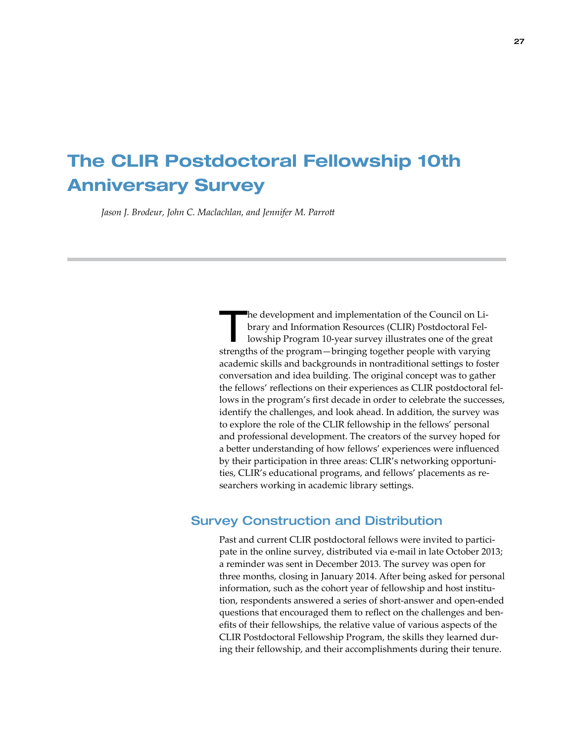## The CLIR Postdoctoral Fellowship 10th Anniversary Survey

*Jason J. Brodeur, John C. Maclachlan, and Jennifer M. Parrott* 

The development and implementation of the Council on Library and Information Resources (CLIR) Postdoctoral Fellowship Program 10-year survey illustrates one of the great strengths of the program—bringing together people with varying academic skills and backgrounds in nontraditional settings to foster conversation and idea building. The original concept was to gather the fellows' reflections on their experiences as CLIR postdoctoral fellows in the program's first decade in order to celebrate the successes, identify the challenges, and look ahead. In addition, the survey was to explore the role of the CLIR fellowship in the fellows' personal and professional development. The creators of the survey hoped for a better understanding of how fellows' experiences were influenced by their participation in three areas: CLIR's networking opportunities, CLIR's educational programs, and fellows' placements as researchers working in academic library settings.

## Survey Construction and Distribution

Past and current CLIR postdoctoral fellows were invited to participate in the online survey, distributed via e-mail in late October 2013; a reminder was sent in December 2013. The survey was open for three months, closing in January 2014. After being asked for personal information, such as the cohort year of fellowship and host institution, respondents answered a series of short-answer and open-ended questions that encouraged them to reflect on the challenges and benefits of their fellowships, the relative value of various aspects of the CLIR Postdoctoral Fellowship Program, the skills they learned during their fellowship, and their accomplishments during their tenure.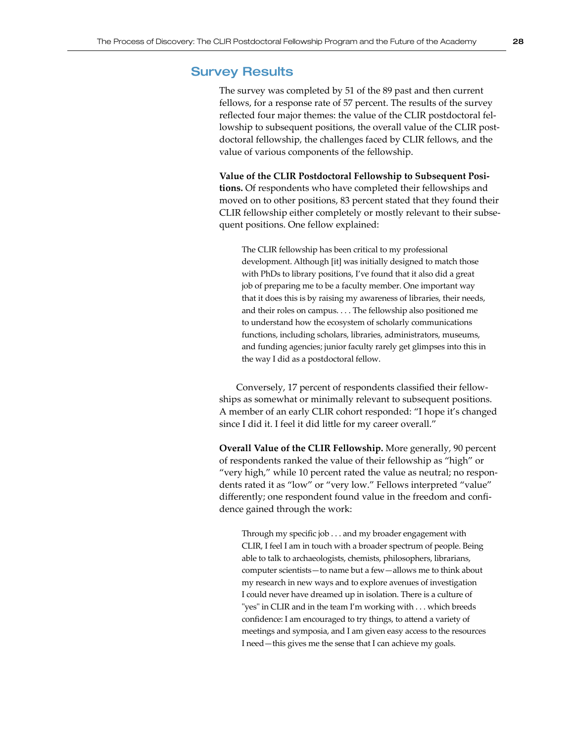## Survey Results

The survey was completed by 51 of the 89 past and then current fellows, for a response rate of 57 percent. The results of the survey reflected four major themes: the value of the CLIR postdoctoral fellowship to subsequent positions, the overall value of the CLIR postdoctoral fellowship, the challenges faced by CLIR fellows, and the value of various components of the fellowship.

**Value of the CLIR Postdoctoral Fellowship to Subsequent Positions.** Of respondents who have completed their fellowships and moved on to other positions, 83 percent stated that they found their CLIR fellowship either completely or mostly relevant to their subsequent positions. One fellow explained:

The CLIR fellowship has been critical to my professional development. Although [it] was initially designed to match those with PhDs to library positions, I've found that it also did a great job of preparing me to be a faculty member. One important way that it does this is by raising my awareness of libraries, their needs, and their roles on campus. . . . The fellowship also positioned me to understand how the ecosystem of scholarly communications functions, including scholars, libraries, administrators, museums, and funding agencies; junior faculty rarely get glimpses into this in the way I did as a postdoctoral fellow.

Conversely, 17 percent of respondents classified their fellowships as somewhat or minimally relevant to subsequent positions. A member of an early CLIR cohort responded: "I hope it's changed since I did it. I feel it did little for my career overall."

**Overall Value of the CLIR Fellowship.** More generally, 90 percent of respondents ranked the value of their fellowship as "high" or "very high," while 10 percent rated the value as neutral; no respondents rated it as "low" or "very low." Fellows interpreted "value" differently; one respondent found value in the freedom and confidence gained through the work:

Through my specific job . . . and my broader engagement with CLIR, I feel I am in touch with a broader spectrum of people. Being able to talk to archaeologists, chemists, philosophers, librarians, computer scientists—to name but a few—allows me to think about my research in new ways and to explore avenues of investigation I could never have dreamed up in isolation. There is a culture of "yes" in CLIR and in the team I'm working with . . . which breeds confidence: I am encouraged to try things, to attend a variety of meetings and symposia, and I am given easy access to the resources I need—this gives me the sense that I can achieve my goals.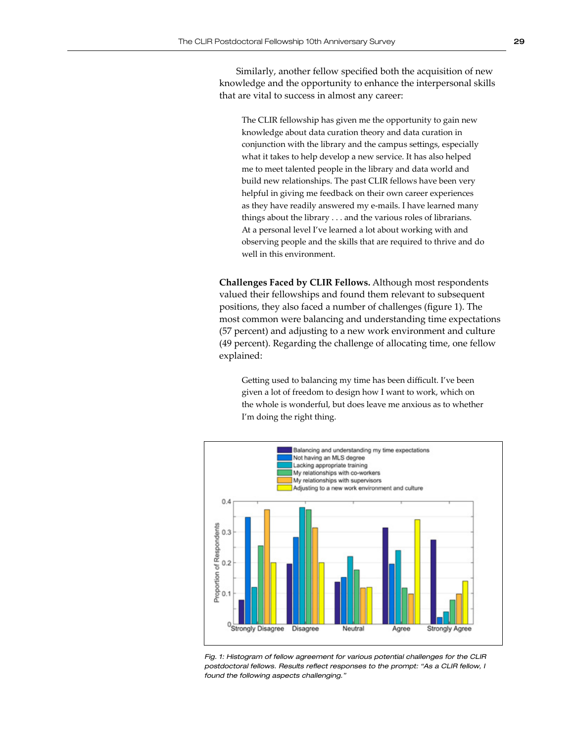Similarly, another fellow specified both the acquisition of new knowledge and the opportunity to enhance the interpersonal skills that are vital to success in almost any career:

The CLIR fellowship has given me the opportunity to gain new knowledge about data curation theory and data curation in conjunction with the library and the campus settings, especially what it takes to help develop a new service. It has also helped me to meet talented people in the library and data world and build new relationships. The past CLIR fellows have been very helpful in giving me feedback on their own career experiences as they have readily answered my e-mails. I have learned many things about the library . . . and the various roles of librarians. At a personal level I've learned a lot about working with and observing people and the skills that are required to thrive and do well in this environment.

**Challenges Faced by CLIR Fellows.** Although most respondents valued their fellowships and found them relevant to subsequent positions, they also faced a number of challenges (figure 1). The most common were balancing and understanding time expectations (57 percent) and adjusting to a new work environment and culture (49 percent). Regarding the challenge of allocating time, one fellow explained:

Getting used to balancing my time has been difficult. I've been given a lot of freedom to design how I want to work, which on the whole is wonderful, but does leave me anxious as to whether I'm doing the right thing.



*Fig. 1: Histogram of fellow agreement for various potential challenges for the CLIR postdoctoral fellows. Results reflect responses to the prompt: "As a CLIR fellow, I found the following aspects challenging."*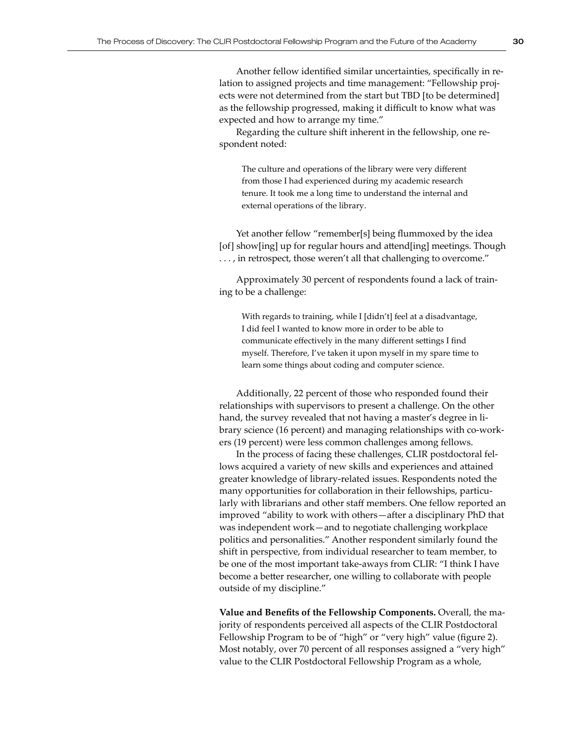Another fellow identified similar uncertainties, specifically in relation to assigned projects and time management: "Fellowship projects were not determined from the start but TBD [to be determined] as the fellowship progressed, making it difficult to know what was expected and how to arrange my time."

Regarding the culture shift inherent in the fellowship, one respondent noted:

The culture and operations of the library were very different from those I had experienced during my academic research tenure. It took me a long time to understand the internal and external operations of the library.

Yet another fellow "remember[s] being flummoxed by the idea [of] show[ing] up for regular hours and attend[ing] meetings. Though . . . , in retrospect, those weren't all that challenging to overcome."

Approximately 30 percent of respondents found a lack of training to be a challenge:

With regards to training, while I [didn't] feel at a disadvantage, I did feel I wanted to know more in order to be able to communicate effectively in the many different settings I find myself. Therefore, I've taken it upon myself in my spare time to learn some things about coding and computer science.

Additionally, 22 percent of those who responded found their relationships with supervisors to present a challenge. On the other hand, the survey revealed that not having a master's degree in library science (16 percent) and managing relationships with co-workers (19 percent) were less common challenges among fellows.

In the process of facing these challenges, CLIR postdoctoral fellows acquired a variety of new skills and experiences and attained greater knowledge of library-related issues. Respondents noted the many opportunities for collaboration in their fellowships, particularly with librarians and other staff members. One fellow reported an improved "ability to work with others—after a disciplinary PhD that was independent work—and to negotiate challenging workplace politics and personalities." Another respondent similarly found the shift in perspective, from individual researcher to team member, to be one of the most important take-aways from CLIR: "I think I have become a better researcher, one willing to collaborate with people outside of my discipline."

**Value and Benefits of the Fellowship Components.** Overall, the majority of respondents perceived all aspects of the CLIR Postdoctoral Fellowship Program to be of "high" or "very high" value (figure 2). Most notably, over 70 percent of all responses assigned a "very high" value to the CLIR Postdoctoral Fellowship Program as a whole,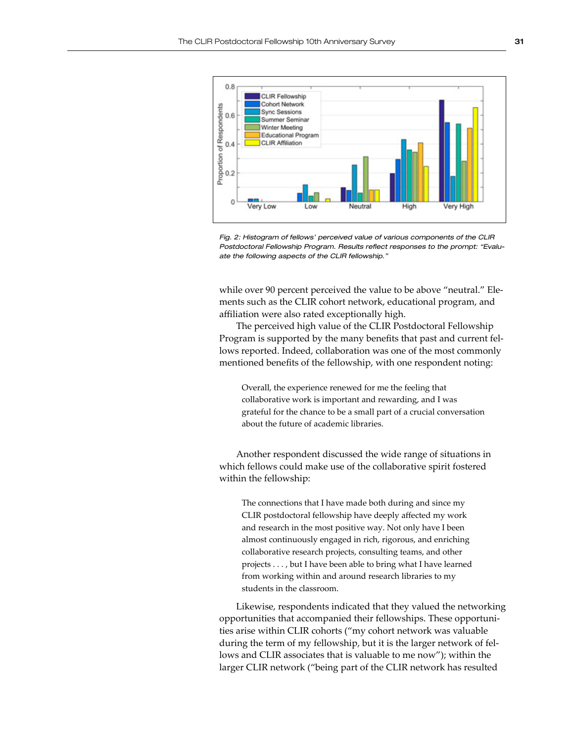

Fig. 2: Histogram of fellows' perceived value of various components of the CLIR *Postdoctoral Fellowship Program. Results reflect responses to the prompt: "Evaluate the following aspects of the CLIR fellowship."*

while over 90 percent perceived the value to be above "neutral." Elements such as the CLIR cohort network, educational program, and affiliation were also rated exceptionally high.

The perceived high value of the CLIR Postdoctoral Fellowship Program is supported by the many benefits that past and current fellows reported. Indeed, collaboration was one of the most commonly mentioned benefits of the fellowship, with one respondent noting:

Overall, the experience renewed for me the feeling that collaborative work is important and rewarding, and I was grateful for the chance to be a small part of a crucial conversation about the future of academic libraries.

Another respondent discussed the wide range of situations in which fellows could make use of the collaborative spirit fostered within the fellowship:

The connections that I have made both during and since my CLIR postdoctoral fellowship have deeply affected my work and research in the most positive way. Not only have I been almost continuously engaged in rich, rigorous, and enriching collaborative research projects, consulting teams, and other projects . . . , but I have been able to bring what I have learned from working within and around research libraries to my students in the classroom.

Likewise, respondents indicated that they valued the networking opportunities that accompanied their fellowships. These opportunities arise within CLIR cohorts ("my cohort network was valuable during the term of my fellowship, but it is the larger network of fellows and CLIR associates that is valuable to me now"); within the larger CLIR network ("being part of the CLIR network has resulted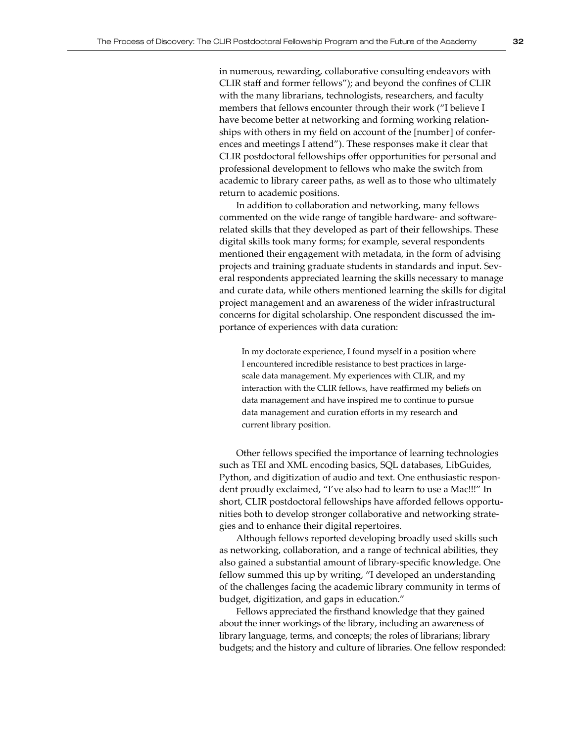in numerous, rewarding, collaborative consulting endeavors with CLIR staff and former fellows"); and beyond the confines of CLIR with the many librarians, technologists, researchers, and faculty members that fellows encounter through their work ("I believe I have become better at networking and forming working relationships with others in my field on account of the [number] of conferences and meetings I attend"). These responses make it clear that CLIR postdoctoral fellowships offer opportunities for personal and professional development to fellows who make the switch from academic to library career paths, as well as to those who ultimately return to academic positions.

In addition to collaboration and networking, many fellows commented on the wide range of tangible hardware- and softwarerelated skills that they developed as part of their fellowships. These digital skills took many forms; for example, several respondents mentioned their engagement with metadata, in the form of advising projects and training graduate students in standards and input. Several respondents appreciated learning the skills necessary to manage and curate data, while others mentioned learning the skills for digital project management and an awareness of the wider infrastructural concerns for digital scholarship. One respondent discussed the importance of experiences with data curation:

In my doctorate experience, I found myself in a position where I encountered incredible resistance to best practices in largescale data management. My experiences with CLIR, and my interaction with the CLIR fellows, have reaffirmed my beliefs on data management and have inspired me to continue to pursue data management and curation efforts in my research and current library position.

Other fellows specified the importance of learning technologies such as TEI and XML encoding basics, SQL databases, LibGuides, Python, and digitization of audio and text. One enthusiastic respondent proudly exclaimed, "I've also had to learn to use a Mac!!!" In short, CLIR postdoctoral fellowships have afforded fellows opportunities both to develop stronger collaborative and networking strategies and to enhance their digital repertoires.

Although fellows reported developing broadly used skills such as networking, collaboration, and a range of technical abilities, they also gained a substantial amount of library-specific knowledge. One fellow summed this up by writing, "I developed an understanding of the challenges facing the academic library community in terms of budget, digitization, and gaps in education."

Fellows appreciated the firsthand knowledge that they gained about the inner workings of the library, including an awareness of library language, terms, and concepts; the roles of librarians; library budgets; and the history and culture of libraries. One fellow responded: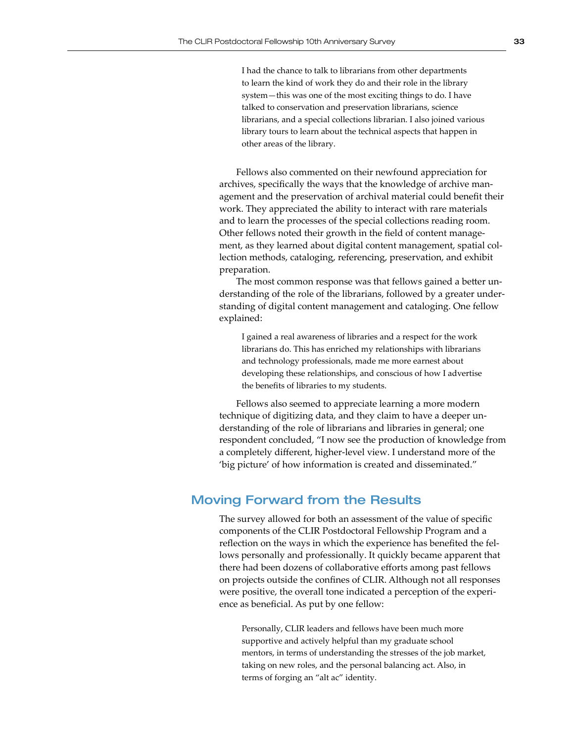I had the chance to talk to librarians from other departments to learn the kind of work they do and their role in the library system—this was one of the most exciting things to do. I have talked to conservation and preservation librarians, science librarians, and a special collections librarian. I also joined various library tours to learn about the technical aspects that happen in other areas of the library.

Fellows also commented on their newfound appreciation for archives, specifically the ways that the knowledge of archive management and the preservation of archival material could benefit their work. They appreciated the ability to interact with rare materials and to learn the processes of the special collections reading room. Other fellows noted their growth in the field of content management, as they learned about digital content management, spatial collection methods, cataloging, referencing, preservation, and exhibit preparation.

The most common response was that fellows gained a better understanding of the role of the librarians, followed by a greater understanding of digital content management and cataloging. One fellow explained:

I gained a real awareness of libraries and a respect for the work librarians do. This has enriched my relationships with librarians and technology professionals, made me more earnest about developing these relationships, and conscious of how I advertise the benefits of libraries to my students.

Fellows also seemed to appreciate learning a more modern technique of digitizing data, and they claim to have a deeper understanding of the role of librarians and libraries in general; one respondent concluded, "I now see the production of knowledge from a completely different, higher-level view. I understand more of the 'big picture' of how information is created and disseminated."

## Moving Forward from the Results

The survey allowed for both an assessment of the value of specific components of the CLIR Postdoctoral Fellowship Program and a reflection on the ways in which the experience has benefited the fellows personally and professionally. It quickly became apparent that there had been dozens of collaborative efforts among past fellows on projects outside the confines of CLIR. Although not all responses were positive, the overall tone indicated a perception of the experience as beneficial. As put by one fellow:

Personally, CLIR leaders and fellows have been much more supportive and actively helpful than my graduate school mentors, in terms of understanding the stresses of the job market, taking on new roles, and the personal balancing act. Also, in terms of forging an "alt ac" identity.